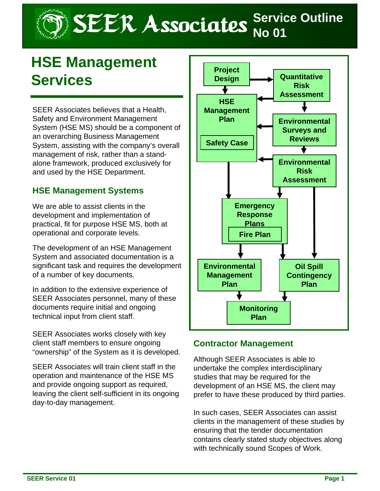# SEER Associates **Service Outline**

## **HSE Management Services**

SEER Associates believes that a Health, Safety and Environment Management System (HSE MS) should be a component of an overarching Business Management System, assisting with the company's overall management of risk, rather than a standalone framework, produced exclusively for and used by the HSE Department.

#### **HSE Management Systems**

We are able to assist clients in the development and implementation of practical, fit for purpose HSE MS, both at operational and corporate levels.

The development of an HSE Management System and associated documentation is a significant task and requires the development of a number of key documents.

In addition to the extensive experience of SEER Associates personnel, many of these documents require initial and ongoing technical input from client staff.

SEER Associates works closely with key client staff members to ensure ongoing "ownership" of the System as it is developed.

SEER Associates will train client staff in the operation and maintenance of the HSE MS and provide ongoing support as required, leaving the client self-sufficient in its ongoing day-to-day management.



#### **Contractor Management**

Although SEER Associates is able to undertake the complex interdisciplinary studies that may be required for the development of an HSE MS, the client may prefer to have these produced by third parties.

In such cases, SEER Associates can assist clients in the management of these studies by ensuring that the tender documentation contains clearly stated study objectives along with technically sound Scopes of Work.